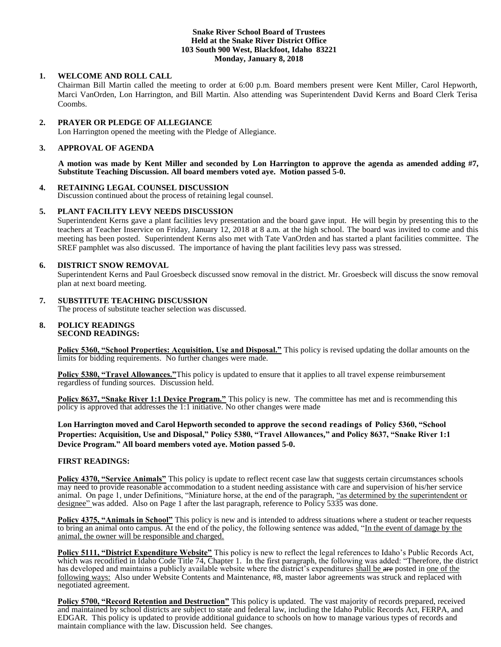### **Snake River School Board of Trustees Held at the Snake River District Office 103 South 900 West, Blackfoot, Idaho 83221 Monday, January 8, 2018**

# **1. WELCOME AND ROLL CALL**

Chairman Bill Martin called the meeting to order at 6:00 p.m. Board members present were Kent Miller, Carol Hepworth, Marci VanOrden, Lon Harrington, and Bill Martin. Also attending was Superintendent David Kerns and Board Clerk Terisa Coombs.

### **2. PRAYER OR PLEDGE OF ALLEGIANCE**

Lon Harrington opened the meeting with the Pledge of Allegiance.

# **3. APPROVAL OF AGENDA**

**A motion was made by Kent Miller and seconded by Lon Harrington to approve the agenda as amended adding #7, Substitute Teaching Discussion. All board members voted aye. Motion passed 5-0.**

### **4. RETAINING LEGAL COUNSEL DISCUSSION**

Discussion continued about the process of retaining legal counsel.

# **5. PLANT FACILITY LEVY NEEDS DISCUSSION**

Superintendent Kerns gave a plant facilities levy presentation and the board gave input. He will begin by presenting this to the teachers at Teacher Inservice on Friday, January 12, 2018 at 8 a.m. at the high school. The board was invited to come and this meeting has been posted. Superintendent Kerns also met with Tate VanOrden and has started a plant facilities committee. The SREF pamphlet was also discussed. The importance of having the plant facilities levy pass was stressed.

# **6. DISTRICT SNOW REMOVAL**

Superintendent Kerns and Paul Groesbeck discussed snow removal in the district. Mr. Groesbeck will discuss the snow removal plan at next board meeting.

# **7. SUBSTITUTE TEACHING DISCUSSION**

The process of substitute teacher selection was discussed.

#### **8. POLICY READINGS SECOND READINGS:**

**Policy 5360, "School Properties: Acquisition, Use and Disposal."** This policy is revised updating the dollar amounts on the limits for bidding requirements. No further changes were made.

**Policy 5380, "Travel Allowances."**This policy is updated to ensure that it applies to all travel expense reimbursement regardless of funding sources. Discussion held.

**Policy 8637, "Snake River 1:1 Device Program."** This policy is new. The committee has met and is recommending this policy is approved that addresses the 1:1 initiative. No other changes were made

**Lon Harrington moved and Carol Hepworth seconded to approve the second readings of Policy 5360, "School Properties: Acquisition, Use and Disposal," Policy 5380, "Travel Allowances," and Policy 8637, "Snake River 1:1 Device Program." All board members voted aye. Motion passed 5-0.**

### **FIRST READINGS:**

**Policy 4370, "Service Animals"** This policy is update to reflect recent case law that suggests certain circumstances schools may need to provide reasonable accommodation to a student needing assistance with care and supervision of his/her service animal. On page 1, under Definitions, "Miniature horse, at the end of the paragraph, "as determined by the superintendent or designee" was added. Also on Page 1 after the last paragraph, reference to Policy 5335 was done.

**Policy 4375, "Animals in School"** This policy is new and is intended to address situations where a student or teacher requests to bring an animal onto campus. At the end of the policy, the following sentence was added, "In the event of damage by the animal, the owner will be responsible and charged.

**Policy 5111, "District Expenditure Website"** This policy is new to reflect the legal references to Idaho's Public Records Act, which was recodified in Idaho Code Title 74, Chapter 1. In the first paragraph, the following was added: "Therefore, the district has developed and maintains a publicly available website where the district's expenditures shall be are posted in one of the following ways: Also under Website Contents and Maintenance, #8, master labor agreements was struck and replaced with negotiated agreement.

**Policy 5700, "Record Retention and Destruction"** This policy is updated. The vast majority of records prepared, received and maintained by school districts are subject to state and federal law, including the Idaho Public Records Act, FERPA, and EDGAR. This policy is updated to provide additional guidance to schools on how to manage various types of records and maintain compliance with the law. Discussion held. See changes.